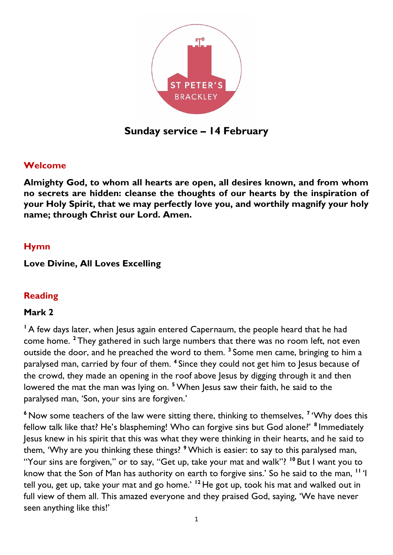

**Sunday service – 14 February**

## **Welcome**

**Almighty God, to whom all hearts are open, all desires known, and from whom no secrets are hidden: cleanse the thoughts of our hearts by the inspiration of your Holy Spirit, that we may perfectly love you, and worthily magnify your holy name; through Christ our Lord. Amen.** 

### **Hymn**

### **Love Divine, All Loves Excelling**

## **Reading**

## **Mark 2**

<sup>1</sup> A few days later, when Jesus again entered Capernaum, the people heard that he had come home. **<sup>2</sup>** They gathered in such large numbers that there was no room left, not even outside the door, and he preached the word to them. **<sup>3</sup>** Some men came, bringing to him a paralysed man, carried by four of them. **<sup>4</sup>** Since they could not get him to Jesus because of the crowd, they made an opening in the roof above Jesus by digging through it and then lowered the mat the man was lying on. **<sup>5</sup>** When Jesus saw their faith, he said to the paralysed man, 'Son, your sins are forgiven.'

**<sup>6</sup>** Now some teachers of the law were sitting there, thinking to themselves, **<sup>7</sup>** 'Why does this fellow talk like that? He's blaspheming! Who can forgive sins but God alone?' **<sup>8</sup>** Immediately Jesus knew in his spirit that this was what they were thinking in their hearts, and he said to them, 'Why are you thinking these things? **<sup>9</sup>**Which is easier: to say to this paralysed man, "Your sins are forgiven," or to say, "Get up, take your mat and walk"? **<sup>10</sup>** But I want you to know that the Son of Man has authority on earth to forgive sins.' So he said to the man, **<sup>11</sup>** 'I tell you, get up, take your mat and go home.' **<sup>12</sup>** He got up, took his mat and walked out in full view of them all. This amazed everyone and they praised God, saying, 'We have never seen anything like this!'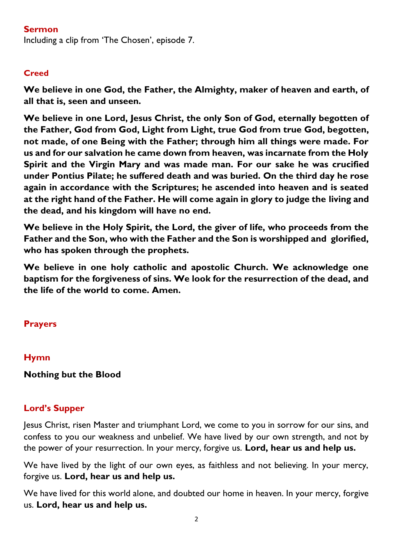### **Sermon**

Including a clip from 'The Chosen', episode 7.

### **Creed**

**We believe in one God, the Father, the Almighty, maker of heaven and earth, of all that is, seen and unseen.** 

**We believe in one Lord, Jesus Christ, the only Son of God, eternally begotten of the Father, God from God, Light from Light, true God from true God, begotten, not made, of one Being with the Father; through him all things were made. For us and for our salvation he came down from heaven, was incarnate from the Holy Spirit and the Virgin Mary and was made man. For our sake he was crucified under Pontius Pilate; he suffered death and was buried. On the third day he rose again in accordance with the Scriptures; he ascended into heaven and is seated at the right hand of the Father. He will come again in glory to judge the living and the dead, and his kingdom will have no end.**

**We believe in the Holy Spirit, the Lord, the giver of life, who proceeds from the Father and the Son, who with the Father and the Son is worshipped and glorified, who has spoken through the prophets.** 

**We believe in one holy catholic and apostolic Church. We acknowledge one baptism for the forgiveness of sins. We look for the resurrection of the dead, and the life of the world to come. Amen.**

## **Prayers**

## **Hymn**

#### **Nothing but the Blood**

#### **Lord's Supper**

Jesus Christ, risen Master and triumphant Lord, we come to you in sorrow for our sins, and confess to you our weakness and unbelief. We have lived by our own strength, and not by the power of your resurrection. In your mercy, forgive us. **Lord, hear us and help us.**

We have lived by the light of our own eyes, as faithless and not believing. In your mercy, forgive us. **Lord, hear us and help us.**

We have lived for this world alone, and doubted our home in heaven. In your mercy, forgive us. **Lord, hear us and help us.**